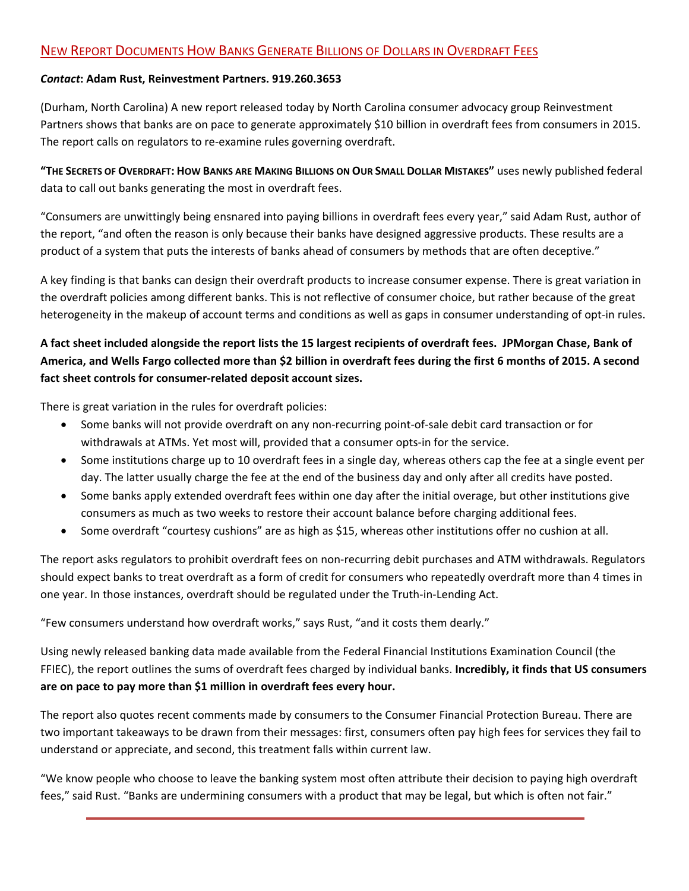## NEW REPORT DOCUMENTS HOW BANKS GENERATE BILLIONS OF DOLLARS IN OVERDRAFT FEES

## *Contact***: Adam Rust, Reinvestment Partners. 919.260.3653**

(Durham, North Carolina) A new report released today by North Carolina consumer advocacy group Reinvestment Partners shows that banks are on pace to generate approximately \$10 billion in overdraft fees from consumers in 2015. The report calls on regulators to re‐examine rules governing overdraft.

**"THE SECRETS OF OVERDRAFT: HOW BANKS ARE MAKING BILLIONS ON OUR SMALL DOLLAR MISTAKES"** uses newly published federal data to call out banks generating the most in overdraft fees.

"Consumers are unwittingly being ensnared into paying billions in overdraft fees every year," said Adam Rust, author of the report, "and often the reason is only because their banks have designed aggressive products. These results are a product of a system that puts the interests of banks ahead of consumers by methods that are often deceptive."

A key finding is that banks can design their overdraft products to increase consumer expense. There is great variation in the overdraft policies among different banks. This is not reflective of consumer choice, but rather because of the great heterogeneity in the makeup of account terms and conditions as well as gaps in consumer understanding of opt-in rules.

## **A fact sheet included alongside the report lists the 15 largest recipients of overdraft fees. JPMorgan Chase, Bank of America, and Wells Fargo collected more than \$2 billion in overdraft fees during the first 6 months of 2015. A second**  fact sheet controls for consumer-related deposit account sizes.

There is great variation in the rules for overdraft policies:

- Some banks will not provide overdraft on any non-recurring point-of-sale debit card transaction or for withdrawals at ATMs. Yet most will, provided that a consumer opts‐in for the service.
- Some institutions charge up to 10 overdraft fees in a single day, whereas others cap the fee at a single event per day. The latter usually charge the fee at the end of the business day and only after all credits have posted.
- Some banks apply extended overdraft fees within one day after the initial overage, but other institutions give consumers as much as two weeks to restore their account balance before charging additional fees.
- Some overdraft "courtesy cushions" are as high as \$15, whereas other institutions offer no cushion at all.

The report asks regulators to prohibit overdraft fees on non-recurring debit purchases and ATM withdrawals. Regulators should expect banks to treat overdraft as a form of credit for consumers who repeatedly overdraft more than 4 times in one year. In those instances, overdraft should be regulated under the Truth-in-Lending Act.

"Few consumers understand how overdraft works," says Rust, "and it costs them dearly."

Using newly released banking data made available from the Federal Financial Institutions Examination Council (the FFIEC), the report outlines the sums of overdraft fees charged by individual banks. **Incredibly, it finds that US consumers are on pace to pay more than \$1 million in overdraft fees every hour.** 

The report also quotes recent comments made by consumers to the Consumer Financial Protection Bureau. There are two important takeaways to be drawn from their messages: first, consumers often pay high fees for services they fail to understand or appreciate, and second, this treatment falls within current law.

"We know people who choose to leave the banking system most often attribute their decision to paying high overdraft fees," said Rust. "Banks are undermining consumers with a product that may be legal, but which is often not fair."